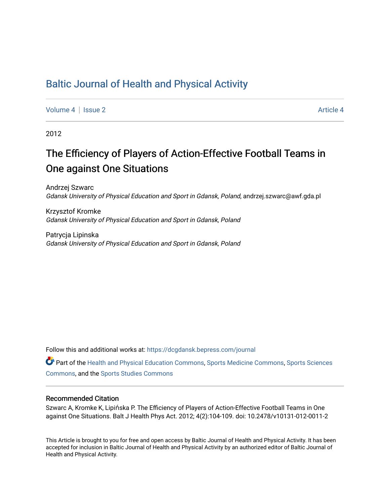# [Baltic Journal of Health and Physical Activity](https://dcgdansk.bepress.com/journal)

[Volume 4](https://dcgdansk.bepress.com/journal/vol4) | [Issue 2](https://dcgdansk.bepress.com/journal/vol4/iss2) Article 4

2012

# The Efficiency of Players of Action-Effective Football Teams in One against One Situations

Andrzej Szwarc Gdansk University of Physical Education and Sport in Gdansk, Poland, andrzej.szwarc@awf.gda.pl

Krzysztof Kromke Gdansk University of Physical Education and Sport in Gdansk, Poland

Patrycja Lipinska Gdansk University of Physical Education and Sport in Gdansk, Poland

Follow this and additional works at: [https://dcgdansk.bepress.com/journal](https://dcgdansk.bepress.com/journal?utm_source=dcgdansk.bepress.com%2Fjournal%2Fvol4%2Fiss2%2F4&utm_medium=PDF&utm_campaign=PDFCoverPages)

Part of the [Health and Physical Education Commons](http://network.bepress.com/hgg/discipline/1327?utm_source=dcgdansk.bepress.com%2Fjournal%2Fvol4%2Fiss2%2F4&utm_medium=PDF&utm_campaign=PDFCoverPages), [Sports Medicine Commons,](http://network.bepress.com/hgg/discipline/1331?utm_source=dcgdansk.bepress.com%2Fjournal%2Fvol4%2Fiss2%2F4&utm_medium=PDF&utm_campaign=PDFCoverPages) [Sports Sciences](http://network.bepress.com/hgg/discipline/759?utm_source=dcgdansk.bepress.com%2Fjournal%2Fvol4%2Fiss2%2F4&utm_medium=PDF&utm_campaign=PDFCoverPages) [Commons](http://network.bepress.com/hgg/discipline/759?utm_source=dcgdansk.bepress.com%2Fjournal%2Fvol4%2Fiss2%2F4&utm_medium=PDF&utm_campaign=PDFCoverPages), and the [Sports Studies Commons](http://network.bepress.com/hgg/discipline/1198?utm_source=dcgdansk.bepress.com%2Fjournal%2Fvol4%2Fiss2%2F4&utm_medium=PDF&utm_campaign=PDFCoverPages) 

#### Recommended Citation

Szwarc A, Kromke K, Lipińska P. The Efficiency of Players of Action-Effective Football Teams in One against One Situations. Balt J Health Phys Act. 2012; 4(2):104-109. doi: 10.2478/v10131-012-0011-2

This Article is brought to you for free and open access by Baltic Journal of Health and Physical Activity. It has been accepted for inclusion in Baltic Journal of Health and Physical Activity by an authorized editor of Baltic Journal of Health and Physical Activity.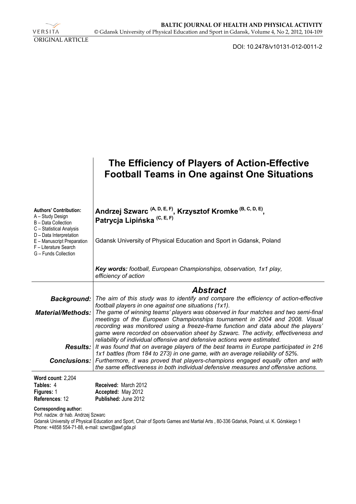DOI: 10.2478/v10131-012-0011-2

|                                                                                                                                 | The Efficiency of Players of Action-Effective<br><b>Football Teams in One against One Situations</b>                                                                                                                                                                                                                                                                                                                     |
|---------------------------------------------------------------------------------------------------------------------------------|--------------------------------------------------------------------------------------------------------------------------------------------------------------------------------------------------------------------------------------------------------------------------------------------------------------------------------------------------------------------------------------------------------------------------|
| <b>Authors' Contribution:</b><br>A - Study Design<br>B - Data Collection<br>C - Statistical Analysis<br>D - Data Interpretation | Andrzej Szwarc <sup>(A, D, E, F)</sup> , Krzysztof Kromke <sup>(B, C, D, E)</sup> ,<br>Patrycja Lipińska <sup>(C, E, F)</sup>                                                                                                                                                                                                                                                                                            |
| E - Manuscript Preparation<br>F - Literature Search<br>G - Funds Collection                                                     | Gdansk University of Physical Education and Sport in Gdansk, Poland                                                                                                                                                                                                                                                                                                                                                      |
|                                                                                                                                 | Key words: football, European Championships, observation, 1x1 play,<br>efficiency of action                                                                                                                                                                                                                                                                                                                              |
|                                                                                                                                 | <b>Abstract</b>                                                                                                                                                                                                                                                                                                                                                                                                          |
| Background:                                                                                                                     | The aim of this study was to identify and compare the efficiency of action-effective<br>football players in one against one situations (1x1).                                                                                                                                                                                                                                                                            |
| <b>Material/Methods:</b>                                                                                                        | The game of winning teams' players was observed in four matches and two semi-final<br>meetings of the European Championships tournament in 2004 and 2008. Visual<br>recording was monitored using a freeze-frame function and data about the players'<br>game were recorded on observation sheet by Szwarc. The activity, effectiveness and<br>reliability of individual offensive and defensive actions were estimated. |
|                                                                                                                                 | <b>Results:</b> It was found that on average players of the best teams in Europe participated in 216                                                                                                                                                                                                                                                                                                                     |
|                                                                                                                                 | 1x1 battles (from 184 to 273) in one game, with an average reliability of 52%.<br><b>Conclusions:</b> Furthermore, it was proved that players-champions engaged equally often and with<br>the same effectiveness in both individual defensive measures and offensive actions.                                                                                                                                            |
| Word count: 2,204<br>Tables: 4<br>Figures: 1<br>References: 12                                                                  | <b>Received: March 2012</b><br>Accepted: May 2012<br><b>Published: June 2012</b>                                                                                                                                                                                                                                                                                                                                         |

#### **Corresponding author:**

Prof. nadzw. dr hab. Andrzej Szwarc

Gdansk University of Physical Education and Sport, Chair of Sports Games and Martial Arts , 80-336 Gdańsk, Poland, ul. K. Górskiego 1 Phone: +4858 554-71-88, e-mail: szwrc@awf.gda.pl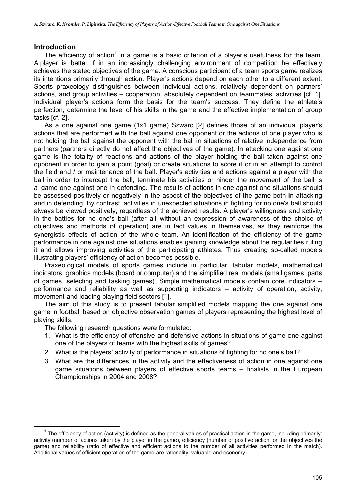#### **Introduction**

The efficiency of action<sup>1</sup> in a game is a basic criterion of a player's usefulness for the team. A player is better if in an increasingly challenging environment of competition he effectively achieves the stated objectives of the game. A conscious participant of a team sports game realizes its intentions primarily through action. Player's actions depend on each other to a different extent. Sports praxeology distinguishes between individual actions, relatively dependent on partners' actions, and group activities – cooperation, absolutely dependent on teammates' activities [cf. 1]. Individual player's actions form the basis for the team's success. They define the athlete's perfection, determine the level of his skills in the game and the effective implementation of group tasks [cf. 2].

As a one against one game (1x1 game) Szwarc [2] defines those of an individual player's actions that are performed with the ball against one opponent or the actions of one player who is not holding the ball against the opponent with the ball in situations of relative independence from partners (partners directly do not affect the objectives of the game). In attacking one against one game is the totality of reactions and actions of the player holding the ball taken against one opponent in order to gain a point (goal) or create situations to score it or in an attempt to control the field and / or maintenance of the ball. Player's activities and actions against a player with the ball in order to intercept the ball, terminate his activities or hinder the movement of the ball is a game one against one in defending. The results of actions in one against one situations should be assessed positively or negatively in the aspect of the objectives of the game both in attacking and in defending. By contrast, activities in unexpected situations in fighting for no one's ball should always be viewed positively, regardless of the achieved results. A player's willingness and activity in the battles for no one's ball (after all without an expression of awareness of the choice of objectives and methods of operation) are in fact values in themselves, as they reinforce the synergistic effects of action of the whole team. An identification of the efficiency of the game performance in one against one situations enables gaining knowledge about the regularities ruling it and allows improving activities of the participating athletes. Thus creating so-called models illustrating players' efficiency of action becomes possible.

Praxeological models of sports games include in particular: tabular models, mathematical indicators, graphics models (board or computer) and the simplified real models (small games, parts of games, selecting and tasking games). Simple mathematical models contain core indicators – performance and reliability as well as supporting indicators – activity of operation, activity, movement and loading playing field sectors [1].

The aim of this study is to present tabular simplified models mapping the one against one game in football based on objective observation games of players representing the highest level of playing skills.

The following research questions were formulated:

- 1. What is the efficiency of offensive and defensive actions in situations of game one against one of the players of teams with the highest skills of games?
- 2. What is the players' activity of performance in situations of fighting for no one's ball?
- 3. What are the differences in the activity and the effectiveness of action in one against one game situations between players of effective sports teams – finalists in the European Championships in 2004 and 2008?

 $\overline{\phantom{0}}$  1  $1$  The efficiency of action (activity) is defined as the general values of practical action in the game, including primarily: activity (number of actions taken by the player in the game), efficiency (number of positive action for the objectives the game) and reliability (ratio of effective and efficient actions to the number of all activities performed in the match). Additional values of efficient operation of the game are rationality, valuable and economy.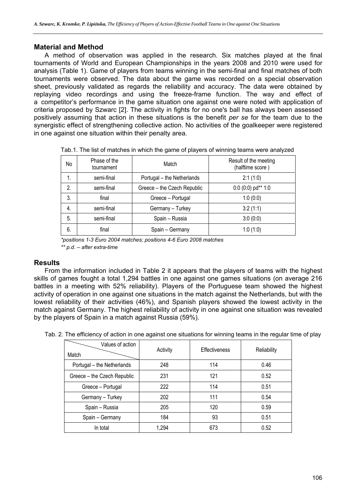# **Material and Method**

A method of observation was applied in the research. Six matches played at the final tournaments of World and European Championships in the years 2008 and 2010 were used for analysis (Table 1). Game of players from teams winning in the semi-final and final matches of both tournaments were observed. The data about the game was recorded on a special observation sheet, previously validated as regards the reliability and accuracy. The data were obtained by replaying video recordings and using the freeze-frame function. The way and effect of a competitor's performance in the game situation one against one were noted with application of criteria proposed by Szwarc [2]. The activity in fights for no one's ball has always been assessed positively assuming that action in these situations is the benefit *per se* for the team due to the synergistic effect of strengthening collective action. No activities of the goalkeeper were registered in one against one situation within their penalty area.

| No             | Phase of the<br>tournament | Match                       | Result of the meeting<br>(halftime score) |
|----------------|----------------------------|-----------------------------|-------------------------------------------|
| $\mathbf{1}$ . | semi-final                 | Portugal - the Netherlands  | 2:1(1:0)                                  |
| 2.             | semi-final                 | Greece - the Czech Republic | 0:0 (0:0) pd** 1:0                        |
| 3.             | final                      | Greece - Portugal           | 1:0(0:0)                                  |
| 4.             | semi-final                 | Germany - Turkey            | 3:2(1:1)                                  |
| 5.             | semi-final                 | Spain - Russia              | 3:0(0:0)                                  |
| 6.             | final                      | Spain - Germany             | 1:0(1:0)                                  |

Tab.1. The list of matches in which the game of players of winning teams were analyzed

*\*positions 1-3 Euro 2004 matches; positions 4-6 Euro 2008 matches \*\* p.d. – after extra-time* 

# **Results**

From the information included in Table 2 it appears that the players of teams with the highest skills of games fought a total 1,294 battles in one against one games situations (on average 216 battles in a meeting with 52% reliability). Players of the Portuguese team showed the highest activity of operation in one against one situations in the match against the Netherlands, but with the lowest reliability of their activities (46%), and Spanish players showed the lowest activity in the match against Germany. The highest reliability of activity in one against one situation was revealed by the players of Spain in a match against Russia (59%).

Tab. 2. The efficiency of action in one against one situations for winning teams in the regular time of play

| Values of action<br>Match   | Activity | <b>Effectiveness</b> | Reliability |
|-----------------------------|----------|----------------------|-------------|
| Portugal - the Netherlands  | 248      | 114                  | 0.46        |
| Greece - the Czech Republic | 231      | 121                  | 0.52        |
| Greece - Portugal           | 222      | 114                  | 0.51        |
| Germany - Turkey            | 202      | 111                  | 0.54        |
| Spain - Russia              | 205      | 120                  | 0.59        |
| Spain - Germany             | 184      | 93                   | 0.51        |
| In total                    | 1,294    | 673                  | 0.52        |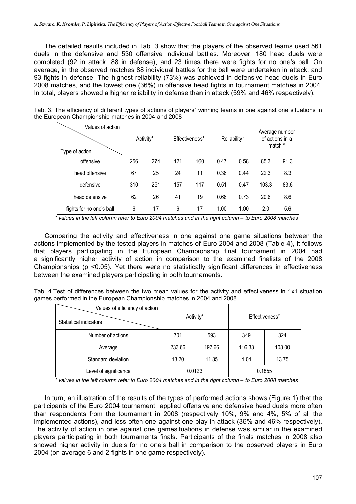The detailed results included in Tab. 3 show that the players of the observed teams used 561 duels in the defensive and 530 offensive individual battles. Moreover, 180 head duels were completed (92 in attack, 88 in defense), and 23 times there were fights for no one's ball. On average, in the observed matches 88 individual battles for the ball were undertaken in attack, and 93 fights in defense. The highest reliability (73%) was achieved in defensive head duels in Euro 2008 matches, and the lowest one (36%) in offensive head fights in tournament matches in 2004. In total, players showed a higher reliability in defense than in attack (59% and 46% respectively).

| Values of action<br>Type of action | Activity* |     | Effectiveness* | Reliability* |      | Average number<br>of actions in a<br>match * |       |      |
|------------------------------------|-----------|-----|----------------|--------------|------|----------------------------------------------|-------|------|
| offensive                          | 256       | 274 | 121            | 160          | 0.47 | 0.58                                         | 85.3  | 91.3 |
| head offensive                     | 67        | 25  | 24             | 11           | 0.36 | 0.44                                         | 22.3  | 8.3  |
| defensive                          | 310       | 251 | 157            | 117          | 0.51 | 0.47                                         | 103.3 | 83.6 |
| head defensive                     | 62        | 26  | 41             | 19           | 0.66 | 0.73                                         | 20.6  | 8.6  |
| fights for no one's ball           | 6         | 17  | 6              | 17           | 1.00 | 1.00                                         | 2.0   | 5.6  |

Tab. 3. The efficiency of different types of actions of players` winning teams in one against one situations in the European Championship matches in 2004 and 2008

*\* values in the left column refer to Euro 2004 matches and in the right column – to Euro 2008 matches* 

Comparing the activity and effectiveness in one against one game situations between the actions implemented by the tested players in matches of Euro 2004 and 2008 (Table 4), it follows that players participating in the European Championship final tournament in 2004 had a significantly higher activity of action in comparison to the examined finalists of the 2008 Championships (p <0.05). Yet there were no statistically significant differences in effectiveness between the examined players participating in both tournaments.

Tab. 4.Test of differences between the two mean values for the activity and effectiveness in 1x1 situation games performed in the European Championship matches in 2004 and 2008

| Values of efficiency of action<br>Statistical indicators | Activity* |        | Effectiveness* |        |  |
|----------------------------------------------------------|-----------|--------|----------------|--------|--|
| Number of actions                                        | 701       | 593    | 349            | 324    |  |
| Average                                                  | 233.66    | 197.66 | 116.33         | 108.00 |  |
| Standard deviation                                       | 13.20     | 11.85  | 4.04           | 13.75  |  |
| Level of significance                                    | 0.0123    |        | 0.1855         |        |  |

*\* values in the left column refer to Euro 2004 matches and in the right column – to Euro 2008 matches* 

In turn, an illustration of the results of the types of performed actions shows (Figure 1) that the participants of the Euro 2004 tournament applied offensive and defensive head duels more often than respondents from the tournament in 2008 (respectively 10%, 9% and 4%, 5% of all the implemented actions), and less often one against one play in attack (36% and 46% respectively). The activity of action in one against one gamesituations in defense was similar in the examined players participating in both tournaments finals. Participants of the finals matches in 2008 also showed higher activity in duels for no one's ball in comparison to the observed players in Euro 2004 (on average 6 and 2 fights in one game respectively).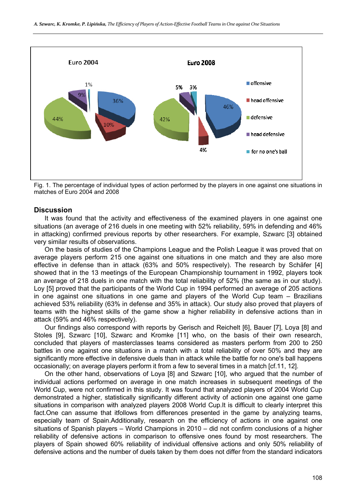

Fig. 1. The percentage of individual types of action performed by the players in one against one situations in matches of Euro 2004 and 2008

#### **Discussion**

It was found that the activity and effectiveness of the examined players in one against one situations (an average of 216 duels in one meeting with 52% reliability, 59% in defending and 46% in attacking) confirmed previous reports by other researchers. For example, Szwarc [3] obtained very similar results of observations.

On the basis of studies of the Champions League and the Polish League it was proved that on average players perform 215 one against one situations in one match and they are also more effective in defense than in attack (63% and 50% respectively). The research by Schäfer [4] showed that in the 13 meetings of the European Championship tournament in 1992, players took an average of 218 duels in one match with the total reliability of 52% (the same as in our study). Loy [5] proved that the participants of the World Cup in 1994 performed an average of 205 actions in one against one situations in one game and players of the World Cup team – Brazilians achieved 53% reliability (63% in defense and 35% in attack). Our study also proved that players of teams with the highest skills of the game show a higher reliability in defensive actions than in attack (59% and 46% respectively).

Our findings also correspond with reports by Gerisch and Reichelt [6], Bauer [7], Loya [8] and Stoles [9], Szwarc [10], Szwarc and Kromke [11] who, on the basis of their own research, concluded that players of masterclasses teams considered as masters perform from 200 to 250 battles in one against one situations in a match with a total reliability of over 50% and they are significantly more effective in defensive duels than in attack while the battle for no one's ball happens occasionally; on average players perform it from a few to several times in a match [cf.11, 12].

On the other hand, observations of Loya [8] and Szwarc [10], who argued that the number of individual actions performed on average in one match increases in subsequent meetings of the World Cup, were not confirmed in this study. It was found that analyzed players of 2004 World Cup demonstrated a higher, statistically significantly different activity of actionin one against one game situations in comparison with analyzed players 2008 World Cup. It is difficult to clearly interpret this fact.One can assume that itfollows from differences presented in the game by analyzing teams, especially team of Spain.Additionally, research on the efficiency of actions in one against one situations of Spanish players – World Champions in 2010 – did not confirm conclusions of a higher reliability of defensive actions in comparison to offensive ones found by most researchers. The players of Spain showed 60% reliability of individual offensive actions and only 50% reliability of defensive actions and the number of duels taken by them does not differ from the standard indicators